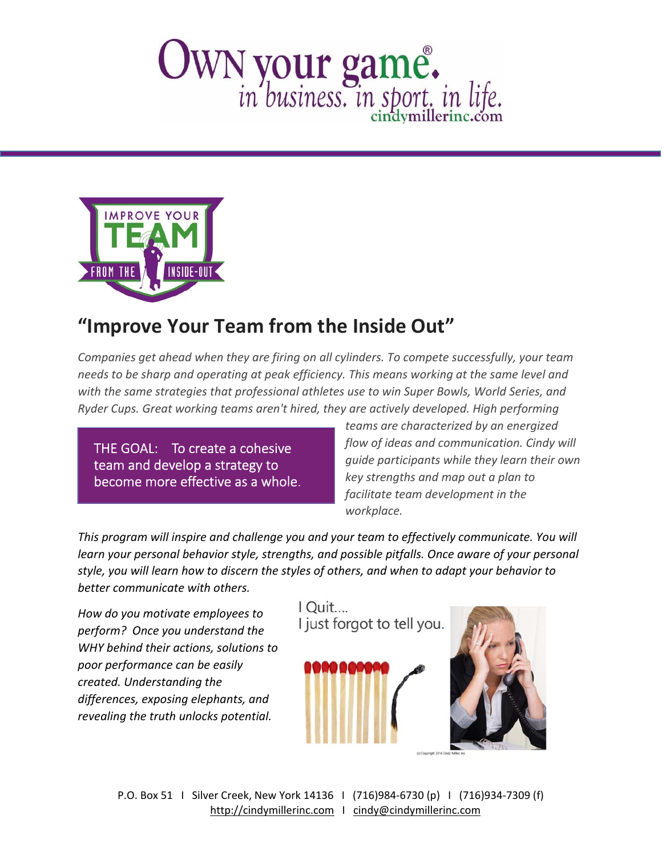## OWN your game.



## **"Improve Your Team from the Inside Out"**

*Companies get ahead when they are firing on all cylinders. To compete successfully, your team needs to be sharp and operating at peak efficiency. This means working at the same level and with the same strategies that professional athletes use to win Super Bowls, World Series, and Ryder Cups. Great working teams aren't hired, they are actively developed. High performing*

THE GOAL: To create a cohesive team and develop a strategy to become more effective as a whole.

*teams are characterized by an energized flow of ideas and communication. Cindy will guide participants while they learn their own key strengths and map out a plan to facilitate team development in the workplace.*

*This program will inspire and challenge you and your team to effectively communicate. You will learn your personal behavior style, strengths, and possible pitfalls. Once aware of your personal style, you will learn how to discern the styles of others, and when to adapt your behavior to better communicate with others.* 

*How do you motivate employees to perform? Once you understand the WHY behind their actions, solutions to poor performance can be easily created. Understanding the differences, exposing elephants, and revealing the truth unlocks potential.*